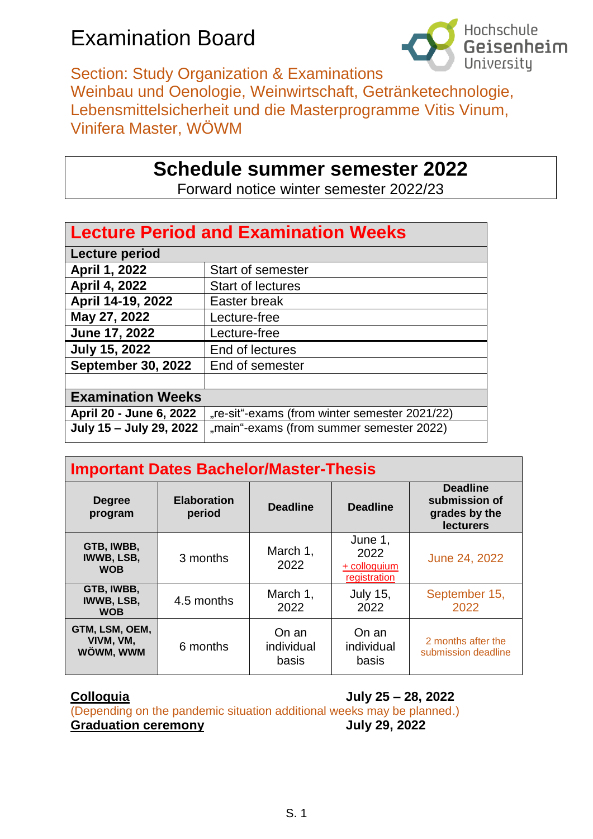## Examination Board



Section: Study Organization & Examinations Weinbau und Oenologie, Weinwirtschaft, Getränketechnologie, Lebensmittelsicherheit und die Masterprogramme Vitis Vinum, Vinifera Master, WÖWM

## **Schedule summer semester 2022**

Forward notice winter semester 2022/23

| <b>Lecture Period and Examination Weeks</b> |                                               |  |  |  |  |
|---------------------------------------------|-----------------------------------------------|--|--|--|--|
| Lecture period                              |                                               |  |  |  |  |
| April 1, 2022                               | <b>Start of semester</b>                      |  |  |  |  |
| April 4, 2022                               | <b>Start of lectures</b>                      |  |  |  |  |
| April 14-19, 2022                           | Easter break                                  |  |  |  |  |
| May 27, 2022                                | Lecture-free                                  |  |  |  |  |
| June 17, 2022                               | Lecture-free                                  |  |  |  |  |
| <b>July 15, 2022</b>                        | End of lectures                               |  |  |  |  |
| <b>September 30, 2022</b>                   | End of semester                               |  |  |  |  |
|                                             |                                               |  |  |  |  |
| <b>Examination Weeks</b>                    |                                               |  |  |  |  |
| April 20 - June 6, 2022                     | "re-sit"-exams (from winter semester 2021/22) |  |  |  |  |
| July 15 - July 29, 2022                     | "main"-exams (from summer semester 2022)      |  |  |  |  |

| <b>Important Dates Bachelor/Master-Thesis</b> |                              |                              |                                                 |                                                                       |  |  |
|-----------------------------------------------|------------------------------|------------------------------|-------------------------------------------------|-----------------------------------------------------------------------|--|--|
| <b>Degree</b><br>program                      | <b>Elaboration</b><br>period | <b>Deadline</b>              | <b>Deadline</b>                                 | <b>Deadline</b><br>submission of<br>grades by the<br><b>lecturers</b> |  |  |
| GTB, IWBB,<br><b>IWWB, LSB,</b><br><b>WOB</b> | 3 months                     | March 1,<br>2022             | June 1,<br>2022<br>+ colloquium<br>registration | June 24, 2022                                                         |  |  |
| GTB, IWBB,<br><b>IWWB, LSB,</b><br><b>WOB</b> | 4.5 months                   | March 1,<br>2022             | <b>July 15,</b><br>2022                         | September 15,<br>2022                                                 |  |  |
| GTM, LSM, OEM,<br>VIVM, VM,<br>WÖWM, WWM      | 6 months                     | On an<br>individual<br>basis | On an<br>individual<br>basis                    | 2 months after the<br>submission deadline                             |  |  |

**Colloquia July 25 – 28, 2022**

(Depending on the pandemic situation additional weeks may be planned.) **Graduation ceremony July 29, 2022**